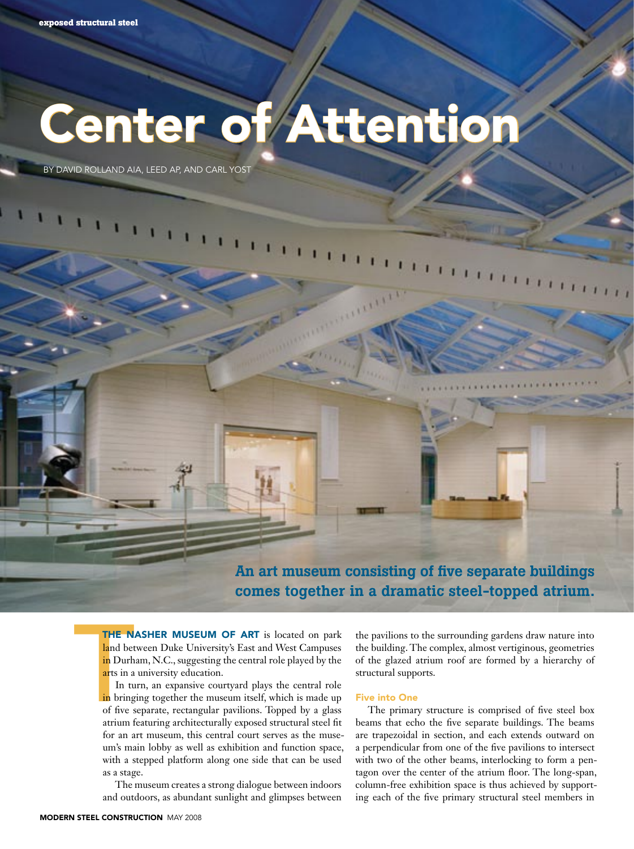# Center of Attention

By David Rolland AIA, LEED AP, and Carl Yost

An art museum consisting of five separate buildings comes together in a dramatic steel-topped atrium.

THE N.<br>
land bet<br>
in Durh<br>
arts in a<br>
In tu<br>
in bring<br>
of five s<br>
atrium f THE NASHER MUSEUM OF ART is located on park land between Duke University's East and West Campuses in Durham, N.C., suggesting the central role played by the arts in a university education.

In turn, an expansive courtyard plays the central role in bringing together the museum itself, which is made up of five separate, rectangular pavilions. Topped by a glass atrium featuring architecturally exposed structural steel fit for an art museum, this central court serves as the museum's main lobby as well as exhibition and function space, with a stepped platform along one side that can be used as a stage.

The museum creates a strong dialogue between indoors and outdoors, as abundant sunlight and glimpses between the pavilions to the surrounding gardens draw nature into the building. The complex, almost vertiginous, geometries of the glazed atrium roof are formed by a hierarchy of structural supports.

## Five into One

The primary structure is comprised of five steel box beams that echo the five separate buildings. The beams are trapezoidal in section, and each extends outward on a perpendicular from one of the five pavilions to intersect with two of the other beams, interlocking to form a pentagon over the center of the atrium floor. The long-span, column-free exhibition space is thus achieved by supporting each of the five primary structural steel members in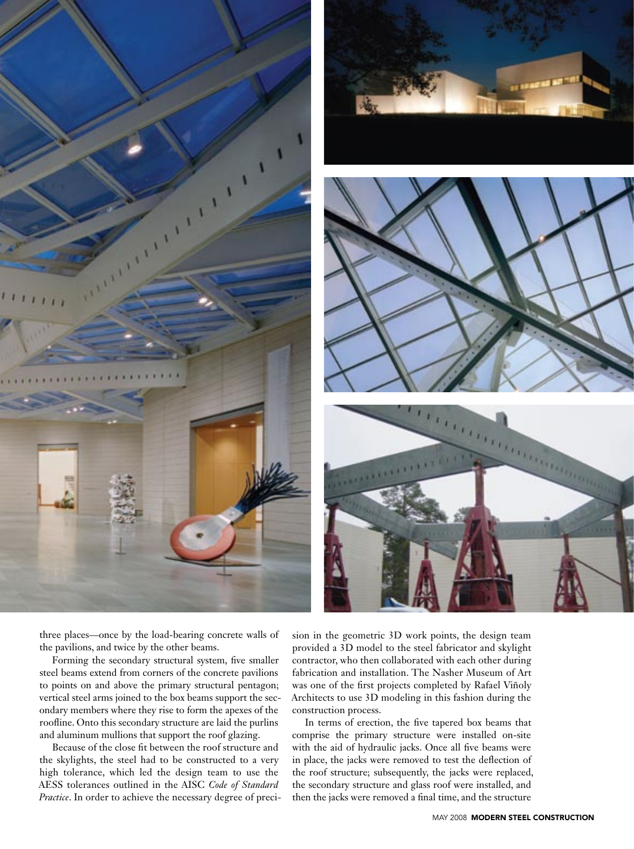





three places—once by the load-bearing concrete walls of the pavilions, and twice by the other beams.

Forming the secondary structural system, five smaller steel beams extend from corners of the concrete pavilions to points on and above the primary structural pentagon; vertical steel arms joined to the box beams support the secondary members where they rise to form the apexes of the roofline. Onto this secondary structure are laid the purlins and aluminum mullions that support the roof glazing.

Because of the close fit between the roof structure and the skylights, the steel had to be constructed to a very high tolerance, which led the design team to use the AESS tolerances outlined in the AISC *Code of Standard Practice*. In order to achieve the necessary degree of precision in the geometric 3D work points, the design team provided a 3D model to the steel fabricator and skylight contractor, who then collaborated with each other during fabrication and installation. The Nasher Museum of Art was one of the first projects completed by Rafael Viñoly Architects to use 3D modeling in this fashion during the construction process.

In terms of erection, the five tapered box beams that comprise the primary structure were installed on-site with the aid of hydraulic jacks. Once all five beams were in place, the jacks were removed to test the deflection of the roof structure; subsequently, the jacks were replaced, the secondary structure and glass roof were installed, and then the jacks were removed a final time, and the structure